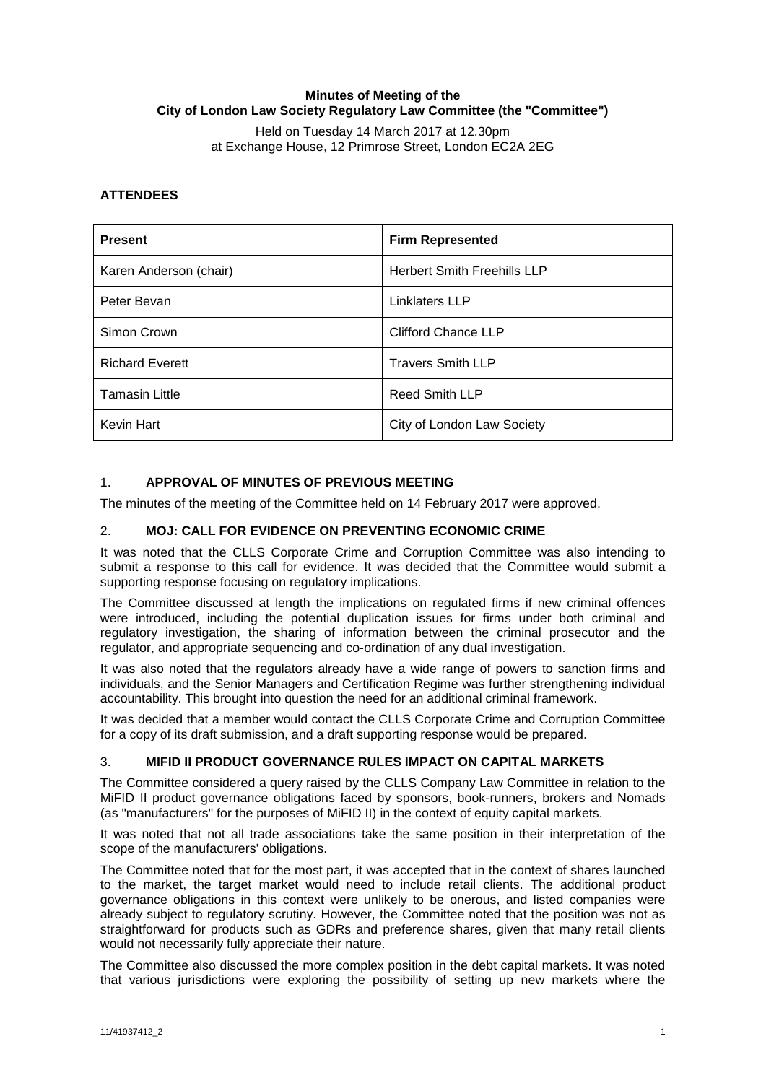# **Minutes of Meeting of the City of London Law Society Regulatory Law Committee (the "Committee")**

Held on Tuesday 14 March 2017 at 12.30pm at Exchange House, 12 Primrose Street, London EC2A 2EG

# **ATTENDEES**

| <b>Present</b>         | <b>Firm Represented</b>            |
|------------------------|------------------------------------|
| Karen Anderson (chair) | <b>Herbert Smith Freehills LLP</b> |
| Peter Bevan            | Linklaters LLP                     |
| Simon Crown            | <b>Clifford Chance LLP</b>         |
| <b>Richard Everett</b> | <b>Travers Smith LLP</b>           |
| <b>Tamasin Little</b>  | <b>Reed Smith LLP</b>              |
| Kevin Hart             | City of London Law Society         |

# 1. **APPROVAL OF MINUTES OF PREVIOUS MEETING**

The minutes of the meeting of the Committee held on 14 February 2017 were approved.

# 2. **MOJ: CALL FOR EVIDENCE ON PREVENTING ECONOMIC CRIME**

It was noted that the CLLS Corporate Crime and Corruption Committee was also intending to submit a response to this call for evidence. It was decided that the Committee would submit a supporting response focusing on regulatory implications.

The Committee discussed at length the implications on regulated firms if new criminal offences were introduced, including the potential duplication issues for firms under both criminal and regulatory investigation, the sharing of information between the criminal prosecutor and the regulator, and appropriate sequencing and co-ordination of any dual investigation.

It was also noted that the regulators already have a wide range of powers to sanction firms and individuals, and the Senior Managers and Certification Regime was further strengthening individual accountability. This brought into question the need for an additional criminal framework.

It was decided that a member would contact the CLLS Corporate Crime and Corruption Committee for a copy of its draft submission, and a draft supporting response would be prepared.

# 3. **MIFID II PRODUCT GOVERNANCE RULES IMPACT ON CAPITAL MARKETS**

The Committee considered a query raised by the CLLS Company Law Committee in relation to the MiFID II product governance obligations faced by sponsors, book-runners, brokers and Nomads (as "manufacturers" for the purposes of MiFID II) in the context of equity capital markets.

It was noted that not all trade associations take the same position in their interpretation of the scope of the manufacturers' obligations.

The Committee noted that for the most part, it was accepted that in the context of shares launched to the market, the target market would need to include retail clients. The additional product governance obligations in this context were unlikely to be onerous, and listed companies were already subject to regulatory scrutiny. However, the Committee noted that the position was not as straightforward for products such as GDRs and preference shares, given that many retail clients would not necessarily fully appreciate their nature.

The Committee also discussed the more complex position in the debt capital markets. It was noted that various jurisdictions were exploring the possibility of setting up new markets where the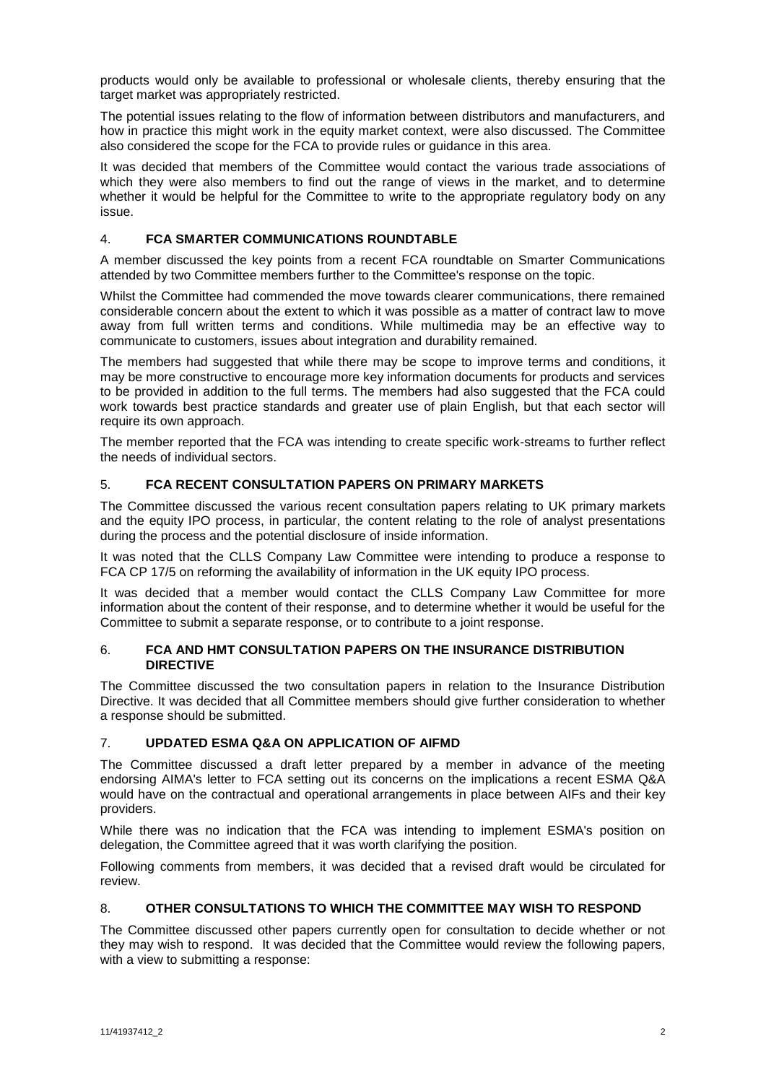products would only be available to professional or wholesale clients, thereby ensuring that the target market was appropriately restricted.

The potential issues relating to the flow of information between distributors and manufacturers, and how in practice this might work in the equity market context, were also discussed. The Committee also considered the scope for the FCA to provide rules or guidance in this area.

It was decided that members of the Committee would contact the various trade associations of which they were also members to find out the range of views in the market, and to determine whether it would be helpful for the Committee to write to the appropriate regulatory body on any issue.

# 4. **FCA SMARTER COMMUNICATIONS ROUNDTABLE**

A member discussed the key points from a recent FCA roundtable on Smarter Communications attended by two Committee members further to the Committee's response on the topic.

Whilst the Committee had commended the move towards clearer communications, there remained considerable concern about the extent to which it was possible as a matter of contract law to move away from full written terms and conditions. While multimedia may be an effective way to communicate to customers, issues about integration and durability remained.

The members had suggested that while there may be scope to improve terms and conditions, it may be more constructive to encourage more key information documents for products and services to be provided in addition to the full terms. The members had also suggested that the FCA could work towards best practice standards and greater use of plain English, but that each sector will require its own approach.

The member reported that the FCA was intending to create specific work-streams to further reflect the needs of individual sectors.

# 5. **FCA RECENT CONSULTATION PAPERS ON PRIMARY MARKETS**

The Committee discussed the various recent consultation papers relating to UK primary markets and the equity IPO process, in particular, the content relating to the role of analyst presentations during the process and the potential disclosure of inside information.

It was noted that the CLLS Company Law Committee were intending to produce a response to FCA CP 17/5 on reforming the availability of information in the UK equity IPO process.

It was decided that a member would contact the CLLS Company Law Committee for more information about the content of their response, and to determine whether it would be useful for the Committee to submit a separate response, or to contribute to a joint response.

### 6. **FCA AND HMT CONSULTATION PAPERS ON THE INSURANCE DISTRIBUTION DIRECTIVE**

The Committee discussed the two consultation papers in relation to the Insurance Distribution Directive. It was decided that all Committee members should give further consideration to whether a response should be submitted.

# 7. **UPDATED ESMA Q&A ON APPLICATION OF AIFMD**

The Committee discussed a draft letter prepared by a member in advance of the meeting endorsing AIMA's letter to FCA setting out its concerns on the implications a recent ESMA Q&A would have on the contractual and operational arrangements in place between AIFs and their key providers.

While there was no indication that the FCA was intending to implement ESMA's position on delegation, the Committee agreed that it was worth clarifying the position.

Following comments from members, it was decided that a revised draft would be circulated for review.

# 8. **OTHER CONSULTATIONS TO WHICH THE COMMITTEE MAY WISH TO RESPOND**

The Committee discussed other papers currently open for consultation to decide whether or not they may wish to respond. It was decided that the Committee would review the following papers, with a view to submitting a response: